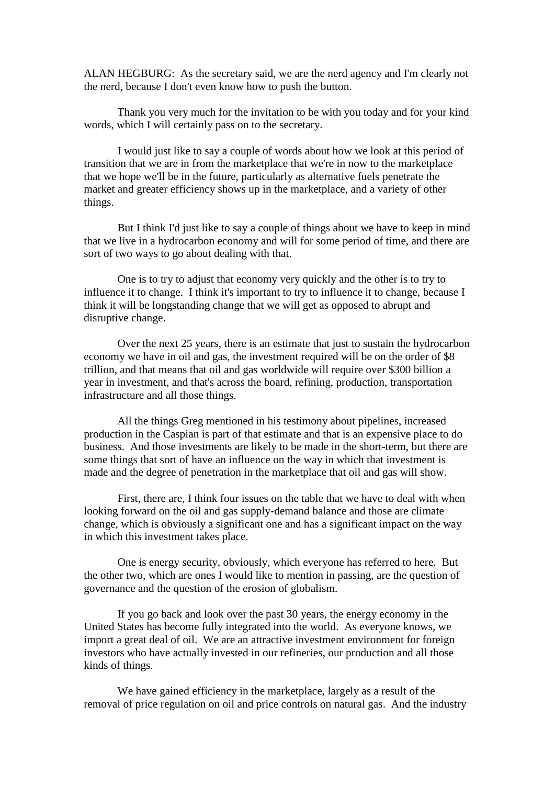ALAN HEGBURG: As the secretary said, we are the nerd agency and I'm clearly not the nerd, because I don't even know how to push the button.

Thank you very much for the invitation to be with you today and for your kind words, which I will certainly pass on to the secretary.

I would just like to say a couple of words about how we look at this period of transition that we are in from the marketplace that we're in now to the marketplace that we hope we'll be in the future, particularly as alternative fuels penetrate the market and greater efficiency shows up in the marketplace, and a variety of other things.

But I think I'd just like to say a couple of things about we have to keep in mind that we live in a hydrocarbon economy and will for some period of time, and there are sort of two ways to go about dealing with that.

One is to try to adjust that economy very quickly and the other is to try to influence it to change. I think it's important to try to influence it to change, because I think it will be longstanding change that we will get as opposed to abrupt and disruptive change.

Over the next 25 years, there is an estimate that just to sustain the hydrocarbon economy we have in oil and gas, the investment required will be on the order of \$8 trillion, and that means that oil and gas worldwide will require over \$300 billion a year in investment, and that's across the board, refining, production, transportation infrastructure and all those things.

All the things Greg mentioned in his testimony about pipelines, increased production in the Caspian is part of that estimate and that is an expensive place to do business. And those investments are likely to be made in the short-term, but there are some things that sort of have an influence on the way in which that investment is made and the degree of penetration in the marketplace that oil and gas will show.

First, there are, I think four issues on the table that we have to deal with when looking forward on the oil and gas supply-demand balance and those are climate change, which is obviously a significant one and has a significant impact on the way in which this investment takes place.

One is energy security, obviously, which everyone has referred to here. But the other two, which are ones I would like to mention in passing, are the question of governance and the question of the erosion of globalism.

If you go back and look over the past 30 years, the energy economy in the United States has become fully integrated into the world. As everyone knows, we import a great deal of oil. We are an attractive investment environment for foreign investors who have actually invested in our refineries, our production and all those kinds of things.

We have gained efficiency in the marketplace, largely as a result of the removal of price regulation on oil and price controls on natural gas. And the industry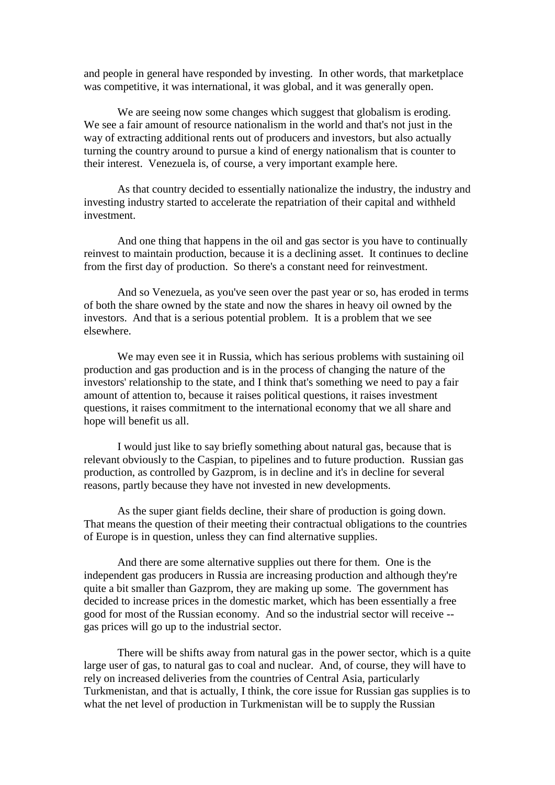and people in general have responded by investing. In other words, that marketplace was competitive, it was international, it was global, and it was generally open.

We are seeing now some changes which suggest that globalism is eroding. We see a fair amount of resource nationalism in the world and that's not just in the way of extracting additional rents out of producers and investors, but also actually turning the country around to pursue a kind of energy nationalism that is counter to their interest. Venezuela is, of course, a very important example here.

As that country decided to essentially nationalize the industry, the industry and investing industry started to accelerate the repatriation of their capital and withheld investment.

And one thing that happens in the oil and gas sector is you have to continually reinvest to maintain production, because it is a declining asset. It continues to decline from the first day of production. So there's a constant need for reinvestment.

And so Venezuela, as you've seen over the past year or so, has eroded in terms of both the share owned by the state and now the shares in heavy oil owned by the investors. And that is a serious potential problem. It is a problem that we see elsewhere.

We may even see it in Russia, which has serious problems with sustaining oil production and gas production and is in the process of changing the nature of the investors' relationship to the state, and I think that's something we need to pay a fair amount of attention to, because it raises political questions, it raises investment questions, it raises commitment to the international economy that we all share and hope will benefit us all.

I would just like to say briefly something about natural gas, because that is relevant obviously to the Caspian, to pipelines and to future production. Russian gas production, as controlled by Gazprom, is in decline and it's in decline for several reasons, partly because they have not invested in new developments.

As the super giant fields decline, their share of production is going down. That means the question of their meeting their contractual obligations to the countries of Europe is in question, unless they can find alternative supplies.

And there are some alternative supplies out there for them. One is the independent gas producers in Russia are increasing production and although they're quite a bit smaller than Gazprom, they are making up some. The government has decided to increase prices in the domestic market, which has been essentially a free good for most of the Russian economy. And so the industrial sector will receive - gas prices will go up to the industrial sector.

There will be shifts away from natural gas in the power sector, which is a quite large user of gas, to natural gas to coal and nuclear. And, of course, they will have to rely on increased deliveries from the countries of Central Asia, particularly Turkmenistan, and that is actually, I think, the core issue for Russian gas supplies is to what the net level of production in Turkmenistan will be to supply the Russian